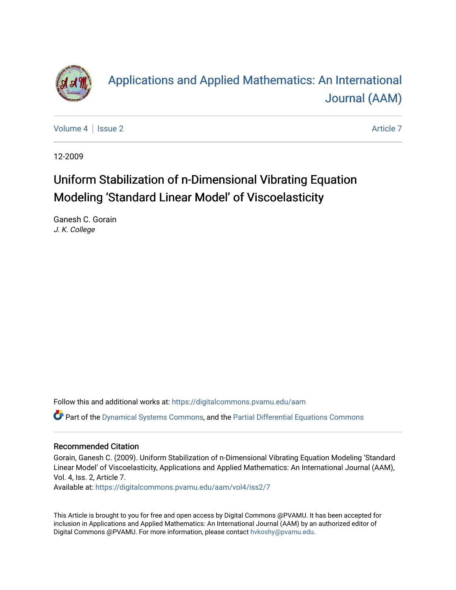

# [Applications and Applied Mathematics: An International](https://digitalcommons.pvamu.edu/aam)  [Journal \(AAM\)](https://digitalcommons.pvamu.edu/aam)

[Volume 4](https://digitalcommons.pvamu.edu/aam/vol4) | [Issue 2](https://digitalcommons.pvamu.edu/aam/vol4/iss2) Article 7

12-2009

## Uniform Stabilization of n-Dimensional Vibrating Equation Modeling 'Standard Linear Model' of Viscoelasticity

Ganesh C. Gorain J. K. College

Follow this and additional works at: [https://digitalcommons.pvamu.edu/aam](https://digitalcommons.pvamu.edu/aam?utm_source=digitalcommons.pvamu.edu%2Faam%2Fvol4%2Fiss2%2F7&utm_medium=PDF&utm_campaign=PDFCoverPages) 

Part of the [Dynamical Systems Commons](http://network.bepress.com/hgg/discipline/179?utm_source=digitalcommons.pvamu.edu%2Faam%2Fvol4%2Fiss2%2F7&utm_medium=PDF&utm_campaign=PDFCoverPages), and the [Partial Differential Equations Commons](http://network.bepress.com/hgg/discipline/120?utm_source=digitalcommons.pvamu.edu%2Faam%2Fvol4%2Fiss2%2F7&utm_medium=PDF&utm_campaign=PDFCoverPages) 

#### Recommended Citation

Gorain, Ganesh C. (2009). Uniform Stabilization of n-Dimensional Vibrating Equation Modeling 'Standard Linear Model' of Viscoelasticity, Applications and Applied Mathematics: An International Journal (AAM), Vol. 4, Iss. 2, Article 7.

Available at: [https://digitalcommons.pvamu.edu/aam/vol4/iss2/7](https://digitalcommons.pvamu.edu/aam/vol4/iss2/7?utm_source=digitalcommons.pvamu.edu%2Faam%2Fvol4%2Fiss2%2F7&utm_medium=PDF&utm_campaign=PDFCoverPages) 

This Article is brought to you for free and open access by Digital Commons @PVAMU. It has been accepted for inclusion in Applications and Applied Mathematics: An International Journal (AAM) by an authorized editor of Digital Commons @PVAMU. For more information, please contact [hvkoshy@pvamu.edu.](mailto:hvkoshy@pvamu.edu)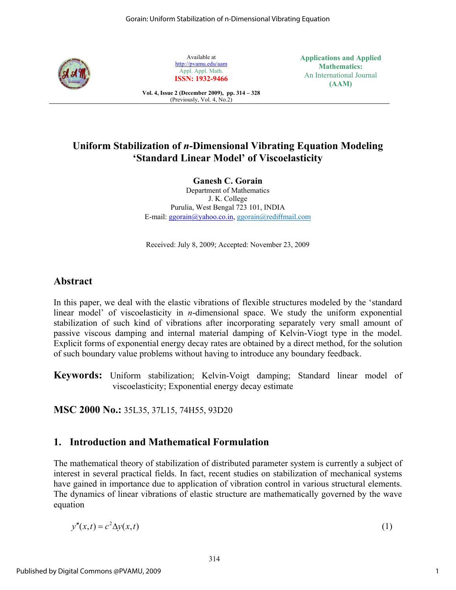

Available at http://pvamu.edu/aam Appl. Appl. Math. **ISSN: 1932-9466** **Applications and Applied Mathematics:**  An International Journal **(AAM)** 

#### **Vol. 4, Issue 2 (December 2009), pp. 314 – 328**  (Previously, Vol. 4, No.2)

## **Uniform Stabilization of** *n***-Dimensional Vibrating Equation Modeling 'Standard Linear Model' of Viscoelasticity**

**Ganesh C. Gorain** 

Department of Mathematics J. K. College Purulia, West Bengal 723 101, INDIA E-mail: ggorain@yahoo.co.in, ggorain@rediffmail.com

Received: July 8, 2009; Accepted: November 23, 2009

## **Abstract**

In this paper, we deal with the elastic vibrations of flexible structures modeled by the 'standard linear model' of viscoelasticity in *n*-dimensional space. We study the uniform exponential stabilization of such kind of vibrations after incorporating separately very small amount of passive viscous damping and internal material damping of Kelvin-Viogt type in the model. Explicit forms of exponential energy decay rates are obtained by a direct method, for the solution of such boundary value problems without having to introduce any boundary feedback.

**Keywords:** Uniform stabilization; Kelvin-Voigt damping; Standard linear model of viscoelasticity; Exponential energy decay estimate

**MSC 2000 No.:** 35L35, 37L15, 74H55, 93D20

## **1. Introduction and Mathematical Formulation**

The mathematical theory of stabilization of distributed parameter system is currently a subject of interest in several practical fields. In fact, recent studies on stabilization of mechanical systems have gained in importance due to application of vibration control in various structural elements. The dynamics of linear vibrations of elastic structure are mathematically governed by the wave equation

$$
y''(x,t) = c^2 \Delta y(x,t) \tag{1}
$$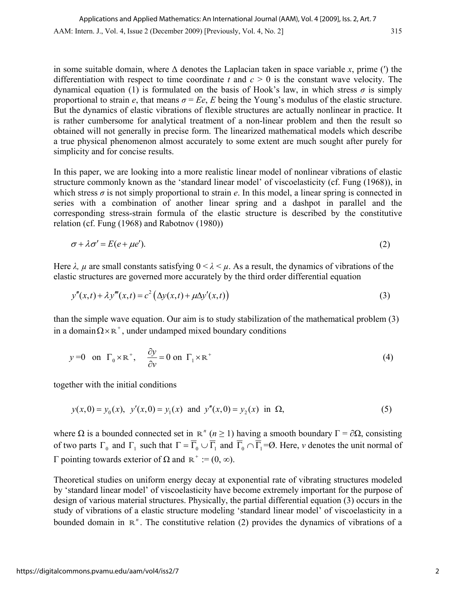in some suitable domain, where  $\Delta$  denotes the Laplacian taken in space variable *x*, prime ( $\prime$ ) the differentiation with respect to time coordinate  $t$  and  $c > 0$  is the constant wave velocity. The dynamical equation (1) is formulated on the basis of Hook's law, in which stress  $\sigma$  is simply proportional to strain *e*, that means  $\sigma = Ee$ , *E* being the Young's modulus of the elastic structure. But the dynamics of elastic vibrations of flexible structures are actually nonlinear in practice. It is rather cumbersome for analytical treatment of a non-linear problem and then the result so obtained will not generally in precise form. The linearized mathematical models which describe a true physical phenomenon almost accurately to some extent are much sought after purely for simplicity and for concise results.

In this paper, we are looking into a more realistic linear model of nonlinear vibrations of elastic structure commonly known as the 'standard linear model' of viscoelasticity (cf. Fung (1968)), in which stress  $\sigma$  is not simply proportional to strain  $e$ . In this model, a linear spring is connected in series with a combination of another linear spring and a dashpot in parallel and the corresponding stress-strain formula of the elastic structure is described by the constitutive relation (cf. Fung (1968) and Rabotnov (1980))

$$
\sigma + \lambda \sigma' = E(e + \mu e'). \tag{2}
$$

Here  $\lambda$ ,  $\mu$  are small constants satisfying  $0 < \lambda < \mu$ . As a result, the dynamics of vibrations of the elastic structures are governed more accurately by the third order differential equation

$$
y''(x,t) + \lambda y'''(x,t) = c^2 \left( \Delta y(x,t) + \mu \Delta y'(x,t) \right)
$$
\n(3)

than the simple wave equation. Our aim is to study stabilization of the mathematical problem (3) in a domain  $\Omega \times \mathbb{R}^+$ , under undamped mixed boundary conditions

$$
y=0
$$
 on  $\Gamma_0 \times \mathbb{R}^+$ ,  $\frac{\partial y}{\partial v} = 0$  on  $\Gamma_1 \times \mathbb{R}^+$  (4)

together with the initial conditions

$$
y(x, 0) = y_0(x), y'(x, 0) = y_1(x)
$$
 and  $y''(x, 0) = y_2(x)$  in  $\Omega$ , (5)

where  $\Omega$  is a bounded connected set in  $\mathbb{R}^n$  ( $n \ge 1$ ) having a smooth boundary  $\Gamma = \partial \Omega$ , consisting of two parts  $\Gamma_0$  and  $\Gamma_1$  such that  $\Gamma = \overline{\Gamma}_0 \cup \overline{\Gamma}_1$  and  $\overline{\Gamma}_0 \cap \overline{\Gamma}_1 = \emptyset$ . Here, *v* denotes the unit normal of Γ pointing towards exterior of Ω and  $\mathbb{R}^+ := (0, \infty)$ .

Theoretical studies on uniform energy decay at exponential rate of vibrating structures modeled by 'standard linear model' of viscoelasticity have become extremely important for the purpose of design of various material structures. Physically, the partial differential equation (3) occurs in the study of vibrations of a elastic structure modeling 'standard linear model' of viscoelasticity in a bounded domain in  $\mathbb{R}^n$ . The constitutive relation (2) provides the dynamics of vibrations of a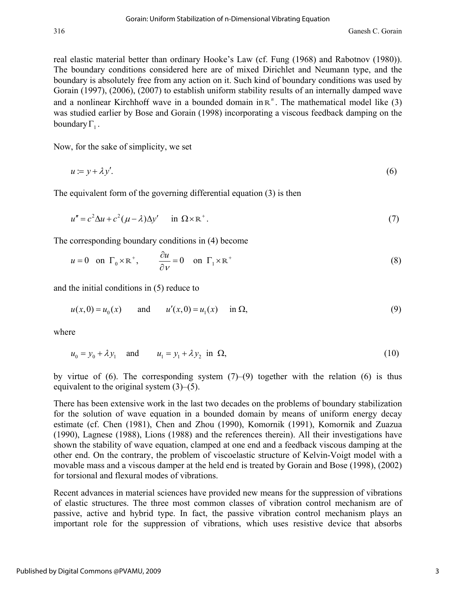real elastic material better than ordinary Hooke's Law (cf. Fung (1968) and Rabotnov (1980)). The boundary conditions considered here are of mixed Dirichlet and Neumann type, and the boundary is absolutely free from any action on it. Such kind of boundary conditions was used by Gorain (1997), (2006), (2007) to establish uniform stability results of an internally damped wave and a nonlinear Kirchhoff wave in a bounded domain in  $\mathbb{R}^n$ . The mathematical model like (3) was studied earlier by Bose and Gorain (1998) incorporating a viscous feedback damping on the boundary  $\Gamma$ .

Now, for the sake of simplicity, we set

$$
u = y + \lambda y'.
$$
 (6)

The equivalent form of the governing differential equation (3) is then

$$
u'' = c^2 \Delta u + c^2 (\mu - \lambda) \Delta y' \quad \text{in } \Omega \times \mathbb{R}^+.
$$
 (7)

The corresponding boundary conditions in (4) become

$$
u = 0
$$
 on  $\Gamma_0 \times \mathbb{R}^+$ ,  $\frac{\partial u}{\partial v} = 0$  on  $\Gamma_1 \times \mathbb{R}^+$  (8)

and the initial conditions in (5) reduce to

$$
u(x, 0) = u_0(x)
$$
 and  $u'(x, 0) = u_1(x)$  in  $\Omega$ , (9)

where

$$
u_0 = y_0 + \lambda y_1 \quad \text{and} \quad u_1 = y_1 + \lambda y_2 \text{ in } \Omega,
$$
 (10)

by virtue of  $(6)$ . The corresponding system  $(7)-(9)$  together with the relation  $(6)$  is thus equivalent to the original system (3)–(5).

There has been extensive work in the last two decades on the problems of boundary stabilization for the solution of wave equation in a bounded domain by means of uniform energy decay estimate (cf. Chen (1981), Chen and Zhou (1990), Komornik (1991), Komornik and Zuazua (1990), Lagnese (1988), Lions (1988) and the references therein). All their investigations have shown the stability of wave equation, clamped at one end and a feedback viscous damping at the other end. On the contrary, the problem of viscoelastic structure of Kelvin-Voigt model with a movable mass and a viscous damper at the held end is treated by Gorain and Bose (1998), (2002) for torsional and flexural modes of vibrations.

Recent advances in material sciences have provided new means for the suppression of vibrations of elastic structures. The three most common classes of vibration control mechanism are of passive, active and hybrid type. In fact, the passive vibration control mechanism plays an important role for the suppression of vibrations, which uses resistive device that absorbs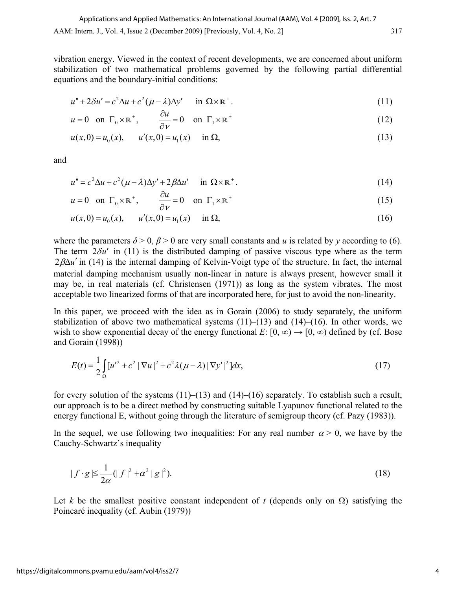vibration energy. Viewed in the context of recent developments, we are concerned about uniform stabilization of two mathematical problems governed by the following partial differential equations and the boundary-initial conditions:

$$
u'' + 2\delta u' = c^2 \Delta u + c^2 (\mu - \lambda) \Delta y' \quad \text{in } \Omega \times \mathbb{R}^+.
$$
 (11)

$$
u = 0
$$
 on  $\Gamma_0 \times \mathbb{R}^+$ ,  $\frac{\partial u}{\partial v} = 0$  on  $\Gamma_1 \times \mathbb{R}^+$  (12)

$$
u(x,0) = u_0(x), \qquad u'(x,0) = u_1(x) \qquad \text{in } \Omega,
$$
\n(13)

and

$$
u'' = c^2 \Delta u + c^2 (\mu - \lambda) \Delta y' + 2\beta \Delta u' \quad \text{in } \Omega \times \mathbb{R}^+.
$$
 (14)

$$
u = 0
$$
 on  $\Gamma_0 \times \mathbb{R}^+$ ,  $\frac{\partial u}{\partial v} = 0$  on  $\Gamma_1 \times \mathbb{R}^+$  (15)

$$
u(x,0) = u_0(x), \qquad u'(x,0) = u_1(x) \qquad \text{in } \Omega,
$$
\n(16)

where the parameters  $\delta$  > 0,  $\beta$  > 0 are very small constants and *u* is related by *y* according to (6). The term  $2\delta u'$  in (11) is the distributed damping of passive viscous type where as the term  $2\beta\Delta u'$  in (14) is the internal damping of Kelvin-Voigt type of the structure. In fact, the internal material damping mechanism usually non-linear in nature is always present, however small it may be, in real materials (cf. Christensen (1971)) as long as the system vibrates. The most acceptable two linearized forms of that are incorporated here, for just to avoid the non-linearity.

In this paper, we proceed with the idea as in Gorain (2006) to study separately, the uniform stabilization of above two mathematical systems  $(11)–(13)$  and  $(14)–(16)$ . In other words, we wish to show exponential decay of the energy functional *E*: [0,  $\infty$ )  $\rightarrow$  [0,  $\infty$ ) defined by (cf. Bose and Gorain (1998))

$$
E(t) = \frac{1}{2} \int_{\Omega} [u'^2 + c^2 | \nabla u |^2 + c^2 \lambda (\mu - \lambda) | \nabla y' |^2] dx,
$$
 (17)

for every solution of the systems  $(11)–(13)$  and  $(14)–(16)$  separately. To establish such a result, our approach is to be a direct method by constructing suitable Lyapunov functional related to the energy functional E, without going through the literature of semigroup theory (cf. Pazy (1983)).

In the sequel, we use following two inequalities: For any real number  $\alpha > 0$ , we have by the Cauchy-Schwartz's inequality

$$
|f \cdot g| \le \frac{1}{2\alpha} (|f|^2 + \alpha^2 |g|^2). \tag{18}
$$

Let *k* be the smallest positive constant independent of *t* (depends only on  $\Omega$ ) satisfying the Poincaré inequality (cf. Aubin (1979))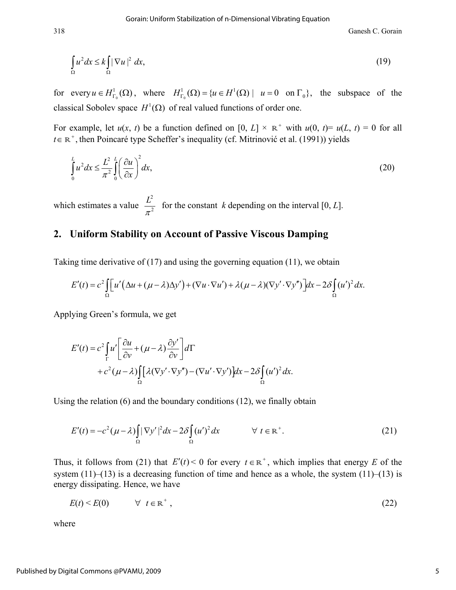318 Ganesh C. Gorain

$$
\int_{\Omega} u^2 dx \le k \int_{\Omega} |\nabla u|^2 dx,
$$
\n(19)

for every  $u \in H^1_{\Gamma_0}(\Omega)$ , where  $H^1_{\Gamma_0}(\Omega) = \{u \in H^1(\Omega) \mid u = 0 \text{ on } \Gamma_0\}$ , the subspace of the classical Sobolev space  $H^1(\Omega)$  of real valued functions of order one.

For example, let  $u(x, t)$  be a function defined on [0, *L*]  $\times \mathbb{R}^+$  with  $u(0, t) = u(L, t) = 0$  for all  $t \in \mathbb{R}^+$ , then Poincaré type Scheffer's inequality (cf. Mitrinović et al. (1991)) yields

$$
\int_{0}^{L} u^{2} dx \le \frac{L^{2}}{\pi^{2}} \int_{0}^{L} \left(\frac{\partial u}{\partial x}\right)^{2} dx,
$$
\n(20)

which estimates a value 2 2 *L*  $\frac{E}{\pi^2}$  for the constant *k* depending on the interval [0, *L*].

## **2. Uniform Stability on Account of Passive Viscous Damping**

Taking time derivative of (17) and using the governing equation (11), we obtain

$$
E'(t) = c^2 \int_{\Omega} \left[ u' \left( \Delta u + (\mu - \lambda) \Delta y' \right) + (\nabla u \cdot \nabla u') + \lambda (\mu - \lambda) (\nabla y' \cdot \nabla y'') \right] dx - 2 \delta \int_{\Omega} (u')^2 dx.
$$

Applying Green's formula, we get

$$
E'(t) = c^2 \int_{\Gamma} u' \left[ \frac{\partial u}{\partial v} + (\mu - \lambda) \frac{\partial y'}{\partial v} \right] d\Gamma
$$
  
+  $c^2 (\mu - \lambda) \int_{\Omega} [\lambda (\nabla y' \cdot \nabla y'') - (\nabla u' \cdot \nabla y')] dx - 2 \delta \int_{\Omega} (u')^2 dx.$ 

Using the relation (6) and the boundary conditions (12), we finally obtain

$$
E'(t) = -c^2(\mu - \lambda) \int_{\Omega} |\nabla y'|^2 dx - 2\delta \int_{\Omega} (u')^2 dx \qquad \forall \ t \in \mathbb{R}^+.
$$
 (21)

Thus, it follows from (21) that  $E'(t) < 0$  for every  $t \in \mathbb{R}^+$ , which implies that energy *E* of the system  $(11)$ – $(13)$  is a decreasing function of time and hence as a whole, the system  $(11)$ – $(13)$  is energy dissipating. Hence, we have

$$
E(t) < E(0) \qquad \forall \quad t \in \mathbb{R}^+, \tag{22}
$$

where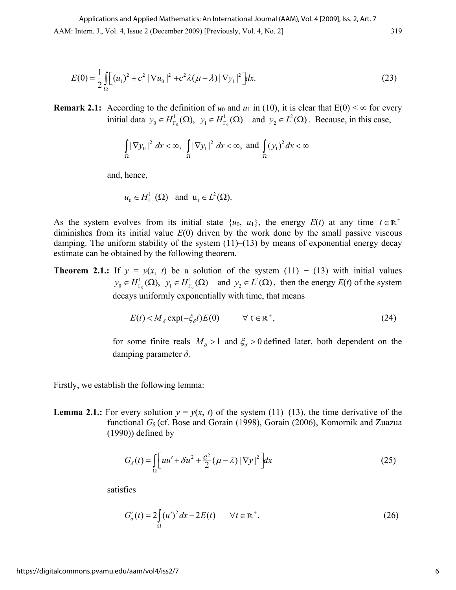$$
E(0) = \frac{1}{2} \int_{\Omega} \left[ (u_1)^2 + c^2 |\nabla u_0|^2 + c^2 \lambda (\mu - \lambda) |\nabla y_1|^2 \right] dx.
$$
 (23)

**Remark 2.1:** According to the definition of  $u_0$  and  $u_1$  in (10), it is clear that  $E(0) < \infty$  for every initial data  $y_0 \in H^1_{\Gamma_0}(\Omega)$ ,  $y_1 \in H^1_{\Gamma_0}(\Omega)$  and  $y_2 \in L^2(\Omega)$ . Because, in this case,

$$
\int_{\Omega} |\nabla y_0|^2 dx < \infty, \int_{\Omega} |\nabla y_1|^2 dx < \infty, \text{ and } \int_{\Omega} (y_1)^2 dx < \infty
$$

and, hence,

$$
u_0 \in H^1_{\Gamma_0}(\Omega)
$$
 and  $u_1 \in L^2(\Omega)$ .

As the system evolves from its initial state  $\{u_0, u_1\}$ , the energy  $E(t)$  at any time  $t \in \mathbb{R}^+$ diminishes from its initial value *E*(0) driven by the work done by the small passive viscous damping. The uniform stability of the system  $(11)$ – $(13)$  by means of exponential energy decay estimate can be obtained by the following theorem.

**Theorem 2.1.:** If  $y = y(x, t)$  be a solution of the system (11) – (13) with initial values  $0 \t 0 \t 1 \t 10$  $y_0 \in H^1_{\Gamma_0}(\Omega)$ ,  $y_1 \in H^1_{\Gamma_0}(\Omega)$  and  $y_2 \in L^2(\Omega)$ , then the energy  $E(t)$  of the system decays uniformly exponentially with time, that means

$$
E(t) < M_{\delta} \exp(-\xi_{\delta}t)E(0) \qquad \forall \ t \in \mathbb{R}^+, \tag{24}
$$

for some finite reals  $M_{\delta} > 1$  and  $\xi_{\delta} > 0$  defined later, both dependent on the damping parameter *δ*.

Firstly, we establish the following lemma:

**Lemma 2.1.:** For every solution  $y = y(x, t)$  of the system (11)−(13), the time derivative of the functional *G*<sup>δ</sup> (cf. Bose and Gorain (1998), Gorain (2006), Komornik and Zuazua  $(1990)$ ) defined by

$$
G_{\delta}(t) = \int_{\Omega} \left[ uu' + \delta u^2 + \frac{c^2}{2} (\mu - \lambda) |\nabla y|^2 \right] dx
$$
 (25)

satisfies

$$
G'_{\delta}(t) = 2\int_{\Omega} (u')^2 dx - 2E(t) \qquad \forall t \in \mathbb{R}^+.
$$
 (26)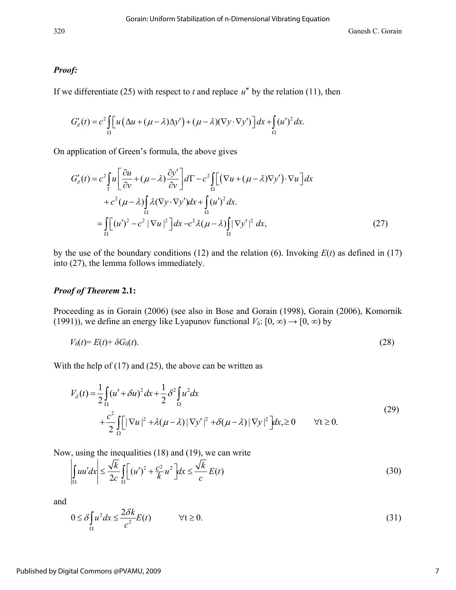#### *Proof:*

If we differentiate (25) with respect to  $t$  and replace  $u''$  by the relation (11), then

$$
G'_{\delta}(t) = c^2 \int_{\Omega} \left[ u \left( \Delta u + (\mu - \lambda) \Delta y' \right) + (\mu - \lambda) (\nabla y \cdot \nabla y') \right] dx + \int_{\Omega} (u')^2 dx.
$$

On application of Green's formula, the above gives

$$
G'_{\delta}(t) = c^2 \int_{\Gamma} u \left[ \frac{\partial u}{\partial v} + (\mu - \lambda) \frac{\partial y'}{\partial v} \right] d\Gamma - c^2 \int_{\Omega} \left[ \left( \nabla u + (\mu - \lambda) \nabla y' \right) \cdot \nabla u \right] dx
$$
  
+ 
$$
c^2 (\mu - \lambda) \int_{\Omega} \lambda (\nabla y \cdot \nabla y') dx + \int_{\Omega} (u')^2 dx.
$$
  
= 
$$
\int_{\Omega} \left[ (u')^2 - c^2 |\nabla u|^2 \right] dx - c^2 \lambda (\mu - \lambda) \int_{\Omega} |\nabla y'|^2 dx,
$$
 (27)

by the use of the boundary conditions (12) and the relation (6). Invoking  $E(t)$  as defined in (17) into (27), the lemma follows immediately.

#### *Proof of Theorem* **2.1:**

Proceeding as in Gorain (2006) (see also in Bose and Gorain (1998), Gorain (2006), Komornik (1991)), we define an energy like Lyapunov functional  $V_{\delta}$ : [0, ∞) → [0, ∞) by

$$
V_{\delta}(t) = E(t) + \delta G_{\delta}(t). \tag{28}
$$

With the help of  $(17)$  and  $(25)$ , the above can be written as

$$
V_{\delta}(t) = \frac{1}{2} \int_{\Omega} (u' + \delta u)^2 dx + \frac{1}{2} \delta^2 \int_{\Omega} u^2 dx
$$
  
+ 
$$
\frac{c^2}{2} \int_{\Omega} \left[ |\nabla u|^2 + \lambda (\mu - \lambda) |\nabla y'|^2 + \delta (\mu - \lambda) |\nabla y|^2 \right] dx \ge 0 \qquad \forall t \ge 0.
$$
 (29)

Now, using the inequalities (18) and (19), we can write

$$
\left| \int_{\Omega} u u' dx \right| \le \frac{\sqrt{k}}{2c} \int_{\Omega} \left[ (u')^2 + \frac{c^2}{k} u^2 \right] dx \le \frac{\sqrt{k}}{c} E(t)
$$
\n(30)

and

$$
0 \le \delta \int_{\Omega} u^2 dx \le \frac{2\delta k}{c^2} E(t) \qquad \forall t \ge 0.
$$
 (31)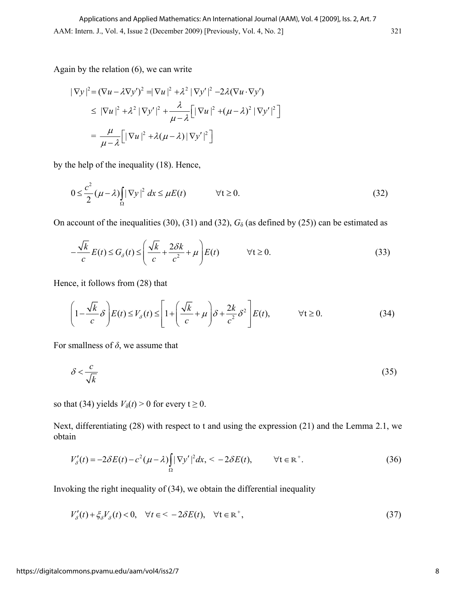Again by the relation (6), we can write

$$
|\nabla y|^2 = (\nabla u - \lambda \nabla y')^2 = |\nabla u|^2 + \lambda^2 |\nabla y'|^2 - 2\lambda (\nabla u \cdot \nabla y')
$$
  
\n
$$
\leq |\nabla u|^2 + \lambda^2 |\nabla y'|^2 + \frac{\lambda}{\mu - \lambda} \Big[ |\nabla u|^2 + (\mu - \lambda)^2 |\nabla y'|^2 \Big]
$$
  
\n
$$
= \frac{\mu}{\mu - \lambda} \Big[ |\nabla u|^2 + \lambda (\mu - \lambda) |\nabla y'|^2 \Big]
$$

by the help of the inequality (18). Hence,

$$
0 \le \frac{c^2}{2} (\mu - \lambda) \int_{\Omega} |\nabla y|^2 dx \le \mu E(t) \qquad \forall t \ge 0.
$$
 (32)

On account of the inequalities (30), (31) and (32),  $G_\delta$  (as defined by (25)) can be estimated as

$$
-\frac{\sqrt{k}}{c}E(t) \le G_{\delta}(t) \le \left(\frac{\sqrt{k}}{c} + \frac{2\delta k}{c^2} + \mu\right)E(t) \qquad \forall t \ge 0.
$$
 (33)

Hence, it follows from (28) that

$$
\left(1 - \frac{\sqrt{k}}{c} \delta\right) E(t) \le V_{\delta}(t) \le \left[1 + \left(\frac{\sqrt{k}}{c} + \mu\right) \delta + \frac{2k}{c^2} \delta^2\right] E(t), \qquad \forall t \ge 0. \tag{34}
$$

For smallness of  $\delta$ , we assume that

$$
\delta < \frac{c}{\sqrt{k}}\tag{35}
$$

so that (34) yields  $V_\delta(t) > 0$  for every  $t \geq 0$ .

Next, differentiating (28) with respect to t and using the expression (21) and the Lemma 2.1, we obtain

$$
V'_{\delta}(t) = -2\delta E(t) - c^2(\mu - \lambda) \int_{\Omega} |\nabla y'|^2 dx, \quad -2\delta E(t), \qquad \forall t \in \mathbb{R}^+.
$$

Invoking the right inequality of (34), we obtain the differential inequality

$$
V'_{\delta}(t) + \xi_{\delta} V_{\delta}(t) < 0, \quad \forall t \in \mathbb{R}^+,\tag{37}
$$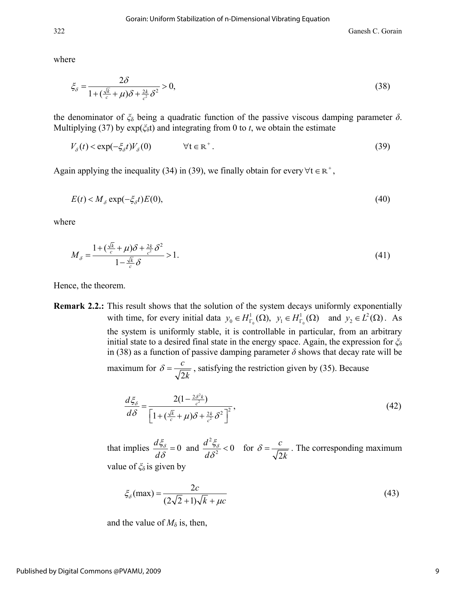322 Ganesh C. Gorain

where

$$
\xi_{\delta} = \frac{2\delta}{1 + (\frac{\sqrt{k}}{c} + \mu)\delta + \frac{2k}{c^2}\delta^2} > 0,
$$
\n(38)

the denominator of  $\zeta$ <sup>δ</sup> being a quadratic function of the passive viscous damping parameter *δ*. Multiplying (37) by  $exp(\xi_0 t)$  and integrating from 0 to *t*, we obtain the estimate

$$
V_{\delta}(t) < \exp(-\xi_{\delta}t)V_{\delta}(0) \qquad \forall t \in \mathbb{R}^+ \,. \tag{39}
$$

Again applying the inequality (34) in (39), we finally obtain for every  $\forall t \in \mathbb{R}^+$ ,

$$
E(t) < M_{\delta} \exp(-\xi_{\delta}t)E(0),\tag{40}
$$

where

$$
M_{\delta} = \frac{1 + \left(\frac{\sqrt{k}}{c} + \mu\right)\delta + \frac{2k}{c^2}\delta^2}{1 - \frac{\sqrt{k}}{c}\delta} > 1.
$$
\n<sup>(41)</sup>

Hence, the theorem.

**Remark 2.2.:** This result shows that the solution of the system decays uniformly exponentially with time, for every initial data  $y_0 \in H^1_{\Gamma_0}(\Omega)$ ,  $y_1 \in H^1_{\Gamma_0}(\Omega)$  and  $y_2 \in L^2(\Omega)$ . As the system is uniformly stable, it is controllable in particular, from an arbitrary initial state to a desired final state in the energy space. Again, the expression for *ξ*<sup>δ</sup> in (38) as a function of passive damping parameter  $\delta$  shows that decay rate will be maximum for 2 *c k*  $\delta = \frac{c}{\sqrt{2}}$ , satisfying the restriction given by (35). Because

$$
\frac{d\xi_{\delta}}{d\delta} = \frac{2(1 - \frac{2\delta^2 k}{c^2})}{\left[1 + \left(\frac{\sqrt{k}}{c} + \mu\right)\delta + \frac{2k}{c^2}\delta^2\right]^2},\tag{42}
$$

that implies  $\frac{d\zeta_{\delta}}{d\delta} = 0$  and  $\frac{d^2\zeta_{\delta}}{d\delta^2} < 0$  $\zeta_{\delta}$  0 and  $d^2 \zeta_{\delta}$  $\frac{\partial^2 \delta}{\partial \delta} = 0$  and  $\frac{d^2 \delta}{d \delta^2} < 0$  for 2 *c k*  $\delta = \frac{c}{\sqrt{2}}$ . The corresponding maximum

value of *ξ*<sup>δ</sup> is given by

$$
\xi_{\delta}(\max) = \frac{2c}{(2\sqrt{2}+1)\sqrt{k} + \mu c}
$$
\n(43)

and the value of  $M_{\delta}$  is, then,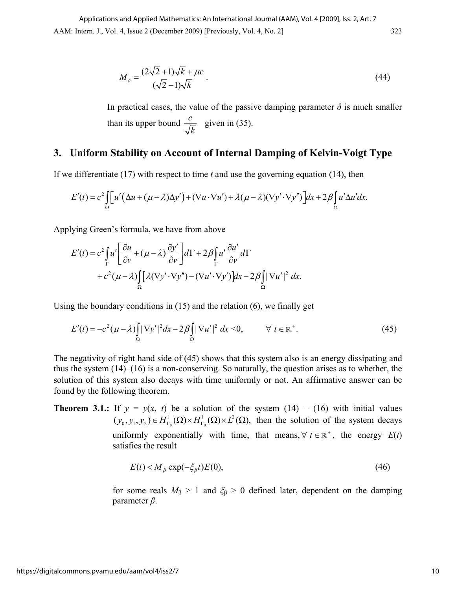$$
M_{\delta} = \frac{(2\sqrt{2} + 1)\sqrt{k} + \mu c}{(\sqrt{2} - 1)\sqrt{k}}.
$$
\n(44)

In practical cases, the value of the passive damping parameter  $\delta$  is much smaller than its upper bound  $\frac{c}{\sqrt{c}}$ *k* given in (35).

## **3. Uniform Stability on Account of Internal Damping of Kelvin-Voigt Type**

If we differentiate (17) with respect to time *t* and use the governing equation (14), then

$$
E'(t) = c^2 \int_{\Omega} \left[ u' \left( \Delta u + (\mu - \lambda) \Delta y' \right) + (\nabla u \cdot \nabla u') + \lambda (\mu - \lambda) (\nabla y' \cdot \nabla y'') \right] dx + 2 \beta \int_{\Omega} u' \Delta u' dx.
$$

Applying Green's formula, we have from above

$$
E'(t) = c^2 \int_{\Gamma} u' \left[ \frac{\partial u}{\partial v} + (\mu - \lambda) \frac{\partial y'}{\partial v} \right] d\Gamma + 2\beta \int_{\Gamma} u' \frac{\partial u'}{\partial v} d\Gamma
$$
  
+  $c^2 (\mu - \lambda) \int_{\Omega} [\lambda (\nabla y' \cdot \nabla y'') - (\nabla u' \cdot \nabla y')] dx - 2\beta \int_{\Omega} |\nabla u'|^2 dx.$ 

Using the boundary conditions in (15) and the relation (6), we finally get

$$
E'(t) = -c^2(\mu - \lambda) \int_{\Omega} |\nabla y'|^2 dx - 2\beta \int_{\Omega} |\nabla u'|^2 dx < 0, \qquad \forall \ t \in \mathbb{R}^+.
$$
 (45)

The negativity of right hand side of (45) shows that this system also is an energy dissipating and thus the system (14)–(16) is a non-conserving. So naturally, the question arises as to whether, the solution of this system also decays with time uniformly or not. An affirmative answer can be found by the following theorem.

**Theorem 3.1.:** If  $y = y(x, t)$  be a solution of the system (14) – (16) with initial values  $0 \sim 10$  $(y_0, y_1, y_2) \in H^1_{\Gamma_0}(\Omega) \times H^1_{\Gamma_0}(\Omega) \times L^2(\Omega)$ , then the solution of the system decays uniformly exponentially with time, that means,  $\forall t \in \mathbb{R}^+$ , the energy  $E(t)$ satisfies the result

$$
E(t) < M_{\beta} \exp(-\xi_{\beta}t)E(0),\tag{46}
$$

for some reals  $M_\beta > 1$  and  $\zeta_\beta > 0$  defined later, dependent on the damping parameter *β*.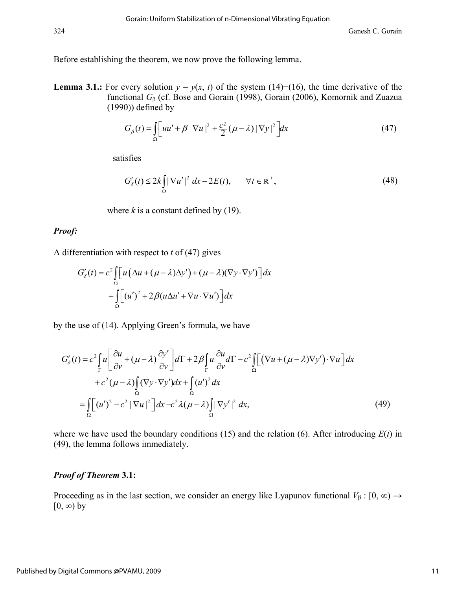Before establishing the theorem, we now prove the following lemma.

**Lemma 3.1.:** For every solution  $y = y(x, t)$  of the system (14)–(16), the time derivative of the functional *G*β (cf. Bose and Gorain (1998), Gorain (2006), Komornik and Zuazua (1990)) defined by

$$
G_{\beta}(t) = \int_{\Omega} \left[ uu' + \beta \left| \nabla u \right|^{2} + \frac{c^{2}}{2} (\mu - \lambda) \left| \nabla y \right|^{2} \right] dx \tag{47}
$$

satisfies

$$
G'_{\delta}(t) \le 2k \int_{\Omega} |\nabla u'|^2 dx - 2E(t), \qquad \forall t \in \mathbb{R}^+,
$$
\n(48)

where  $k$  is a constant defined by (19).

#### *Proof:*

A differentiation with respect to *t* of (47) gives

$$
G'_{\delta}(t) = c^2 \int_{\Omega} \left[ u \left( \Delta u + (\mu - \lambda) \Delta y' \right) + (\mu - \lambda) (\nabla y \cdot \nabla y') \right] dx
$$

$$
+ \int_{\Omega} \left[ (u')^2 + 2 \beta (u \Delta u' + \nabla u \cdot \nabla u') \right] dx
$$

by the use of (14). Applying Green's formula, we have

$$
G'_{\delta}(t) = c^2 \int_{\Gamma} u \left[ \frac{\partial u}{\partial v} + (\mu - \lambda) \frac{\partial y'}{\partial v} \right] d\Gamma + 2\beta \int_{\Gamma} u \frac{\partial u}{\partial v} d\Gamma - c^2 \int_{\Omega} \left[ (\nabla u + (\mu - \lambda) \nabla y') \cdot \nabla u \right] dx
$$
  
+  $c^2 (\mu - \lambda) \int_{\Omega} (\nabla y \cdot \nabla y') dx + \int_{\Omega} (u')^2 dx$   
=  $\int_{\Omega} \left[ (u')^2 - c^2 |\nabla u|^2 \right] dx - c^2 \lambda (\mu - \lambda) \int_{\Omega} |\nabla y'|^2 dx,$  (49)

where we have used the boundary conditions (15) and the relation (6). After introducing *E*(*t*) in (49), the lemma follows immediately.

#### *Proof of Theorem* **3.1:**

Proceeding as in the last section, we consider an energy like Lyapunov functional  $V_\beta$  : [0, ∞)  $\rightarrow$  $[0, \infty)$  by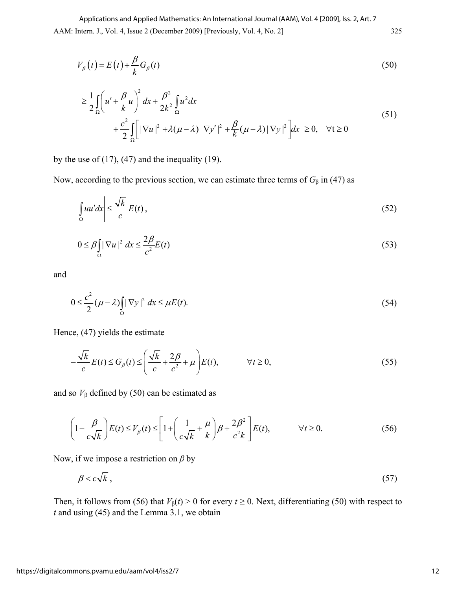AAM: Intern. J., Vol. 4, Issue 2 (December 2009) [Previously, Vol. 4, No. 2] 325 Applications and Applied Mathematics: An International Journal (AAM), Vol. 4 [2009], Iss. 2, Art. 7

$$
V_{\beta}(t) = E(t) + \frac{\beta}{k} G_{\beta}(t)
$$
\n(50)

$$
\geq \frac{1}{2} \int_{\Omega} \left( u' + \frac{\beta}{k} u \right)^2 dx + \frac{\beta^2}{2k^2} \int_{\Omega} u^2 dx
$$
  
+ 
$$
\frac{c^2}{2} \int_{\Omega} \left[ |\nabla u|^2 + \lambda (\mu - \lambda) |\nabla y'|^2 + \frac{\beta}{k} (\mu - \lambda) |\nabla y|^2 \right] dx \geq 0, \quad \forall t \geq 0
$$
 (51)

by the use of  $(17)$ ,  $(47)$  and the inequality  $(19)$ .

Now, according to the previous section, we can estimate three terms of  $G_\beta$  in (47) as

$$
\left| \int_{\Omega} uu' dx \right| \le \frac{\sqrt{k}}{c} E(t) ,\tag{52}
$$

$$
0 \le \beta \int_{\Omega} |\nabla u|^2 dx \le \frac{2\beta}{c^2} E(t)
$$
 (53)

and

$$
0 \le \frac{c^2}{2} (\mu - \lambda) \int_{\Omega} |\nabla y|^2 dx \le \mu E(t).
$$
 (54)

Hence, (47) yields the estimate

$$
-\frac{\sqrt{k}}{c}E(t) \le G_{\beta}(t) \le \left(\frac{\sqrt{k}}{c} + \frac{2\beta}{c^2} + \mu\right)E(t), \qquad \forall t \ge 0,
$$
\n(55)

and so  $V_\beta$  defined by (50) can be estimated as

$$
\left(1 - \frac{\beta}{c\sqrt{k}}\right)E(t) \le V_{\beta}(t) \le \left[1 + \left(\frac{1}{c\sqrt{k}} + \frac{\mu}{k}\right)\beta + \frac{2\beta^2}{c^2k}\right]E(t), \qquad \forall t \ge 0.
$$
 (56)

Now, if we impose a restriction on *β* by

$$
\beta < c\sqrt{k} \tag{57}
$$

Then, it follows from (56) that  $V_\beta(t) > 0$  for every  $t \ge 0$ . Next, differentiating (50) with respect to *t* and using (45) and the Lemma 3.1, we obtain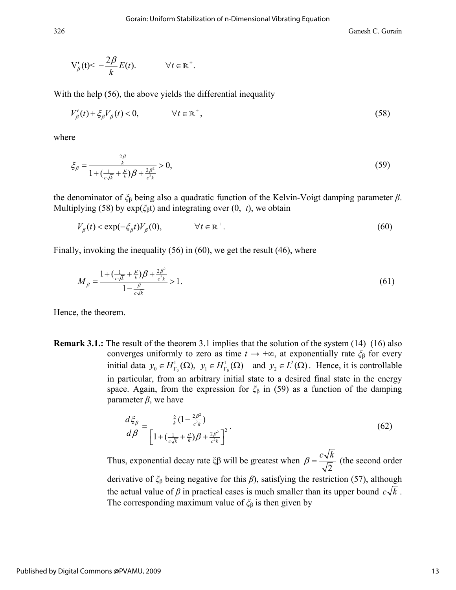326 Ganesh C. Gorain

$$
V'_{\beta}(t) < -\frac{2\beta}{k}E(t). \qquad \forall t \in \mathbb{R}^+.
$$

With the help (56), the above yields the differential inequality

$$
V'_{\beta}(t) + \xi_{\beta} V_{\beta}(t) < 0, \qquad \forall t \in \mathbb{R}^+, \tag{58}
$$

where

$$
\xi_{\beta} = \frac{\frac{2\beta}{k}}{1 + (\frac{1}{c\sqrt{k}} + \frac{\mu}{k})\beta + \frac{2\beta^2}{c^2 k}} > 0,
$$
\n(59)

the denominator of *ξ*β being also a quadratic function of the Kelvin-Voigt damping parameter *β*. Multiplying (58) by exp(*ξ*βt) and integrating over (0, *t*), we obtain

$$
V_{\beta}(t) < \exp(-\xi_{\beta}t)V_{\beta}(0), \qquad \forall t \in \mathbb{R}^+.
$$
\n
$$
(60)
$$

Finally, invoking the inequality (56) in (60), we get the result (46), where

$$
M_{\beta} = \frac{1 + \left(\frac{1}{c\sqrt{k}} + \frac{\mu}{k}\right)\beta + \frac{2\beta^2}{c^2 k}}{1 - \frac{\beta}{c\sqrt{k}}} > 1.
$$
\n(61)

Hence, the theorem.

**Remark 3.1.:** The result of the theorem 3.1 implies that the solution of the system (14)–(16) also converges uniformly to zero as time  $t \to +\infty$ , at exponentially rate  $\zeta_{\beta}$  for every initial data  $y_0 \in H^1_{\Gamma_0}(\Omega)$ ,  $y_1 \in H^1_{\Gamma_0}(\Omega)$  and  $y_2 \in L^2(\Omega)$ . Hence, it is controllable in particular, from an arbitrary initial state to a desired final state in the energy space. Again, from the expression for *ξ*β in (59) as a function of the damping parameter *, we have* 

$$
\frac{d\xi_{\beta}}{d\beta} = \frac{\frac{2}{k} (1 - \frac{2\beta^2}{c^2 k})}{\left[1 + \left(\frac{1}{c\sqrt{k}} + \frac{\mu}{k}\right)\beta + \frac{2\beta^2}{c^2 k}\right]^2}.
$$
\n(62)

Thus, exponential decay rate ξβ will be greatest when  $\beta = \frac{c\sqrt{k}}{\sqrt{2}}$  (the second order derivative of *ξ*β being negative for this *β*), satisfying the restriction (57), although

the actual value of  $\beta$  in practical cases is much smaller than its upper bound  $c\sqrt{k}$ . The corresponding maximum value of *ξ*β is then given by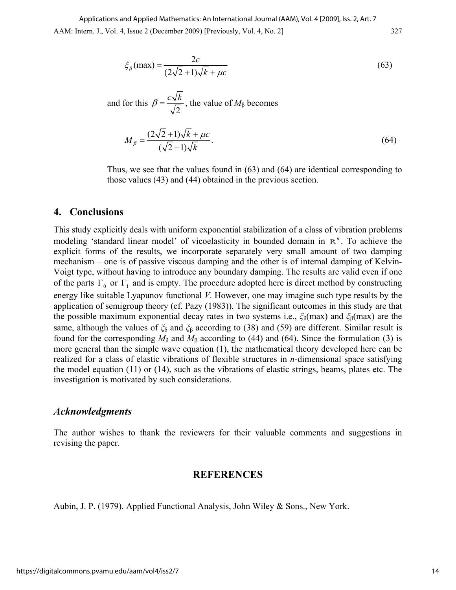$$
\xi_{\beta}(\text{max}) = \frac{2c}{(2\sqrt{2}+1)\sqrt{k} + \mu c}
$$
\n(63)

and for this 
$$
\beta = \frac{c\sqrt{k}}{\sqrt{2}}
$$
, the value of  $M_\beta$  becomes

$$
M_{\beta} = \frac{(2\sqrt{2} + 1)\sqrt{k} + \mu c}{(\sqrt{2} - 1)\sqrt{k}}.
$$
\n(64)

Thus, we see that the values found in (63) and (64) are identical corresponding to those values (43) and (44) obtained in the previous section.

### **4. Conclusions**

This study explicitly deals with uniform exponential stabilization of a class of vibration problems modeling 'standard linear model' of vicoelasticity in bounded domain in  $\mathbb{R}^n$ . To achieve the explicit forms of the results, we incorporate separately very small amount of two damping mechanism – one is of passive viscous damping and the other is of internal damping of Kelvin-Voigt type, without having to introduce any boundary damping. The results are valid even if one of the parts  $\Gamma_0$  or  $\Gamma_1$  and is empty. The procedure adopted here is direct method by constructing energy like suitable Lyapunov functional *V*. However, one may imagine such type results by the application of semigroup theory (cf. Pazy (1983)). The significant outcomes in this study are that the possible maximum exponential decay rates in two systems i.e., *ξ*δ(max) and *ξ*β(max) are the same, although the values of *ξ*δ and *ξ*β according to (38) and (59) are different. Similar result is found for the corresponding  $M_\delta$  and  $M_\beta$  according to (44) and (64). Since the formulation (3) is more general than the simple wave equation (1), the mathematical theory developed here can be realized for a class of elastic vibrations of flexible structures in *n*-dimensional space satisfying the model equation (11) or (14), such as the vibrations of elastic strings, beams, plates etc. The investigation is motivated by such considerations.

#### *Acknowledgments*

The author wishes to thank the reviewers for their valuable comments and suggestions in revising the paper.

#### **REFERENCES**

Aubin, J. P. (1979). Applied Functional Analysis, John Wiley & Sons., New York.